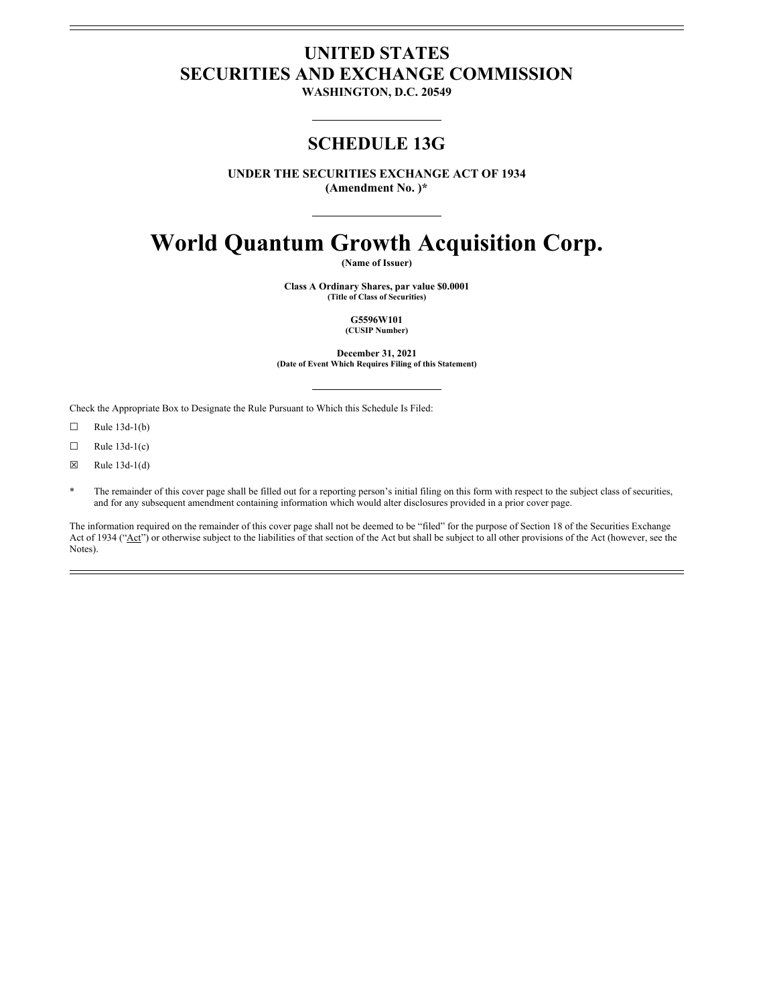## **UNITED STATES SECURITIES AND EXCHANGE COMMISSION**

**WASHINGTON, D.C. 20549**

## **SCHEDULE 13G**

**UNDER THE SECURITIES EXCHANGE ACT OF 1934 (Amendment No. )\***

## **World Quantum Growth Acquisition Corp.**

**(Name of Issuer)**

**Class A Ordinary Shares, par value \$0.0001 (Title of Class of Securities)**

> **G5596W101 (CUSIP Number)**

**December 31, 2021 (Date of Event Which Requires Filing of this Statement)**

Check the Appropriate Box to Designate the Rule Pursuant to Which this Schedule Is Filed:

- $\Box$  Rule 13d-1(b)
- $\Box$  Rule 13d-1(c)
- $\boxtimes$  Rule 13d-1(d)
- \* The remainder of this cover page shall be filled out for a reporting person's initial filing on this form with respect to the subject class of securities, and for any subsequent amendment containing information which would alter disclosures provided in a prior cover page.

The information required on the remainder of this cover page shall not be deemed to be "filed" for the purpose of Section 18 of the Securities Exchange Act of 1934 ("Act") or otherwise subject to the liabilities of that section of the Act but shall be subject to all other provisions of the Act (however, see the Notes).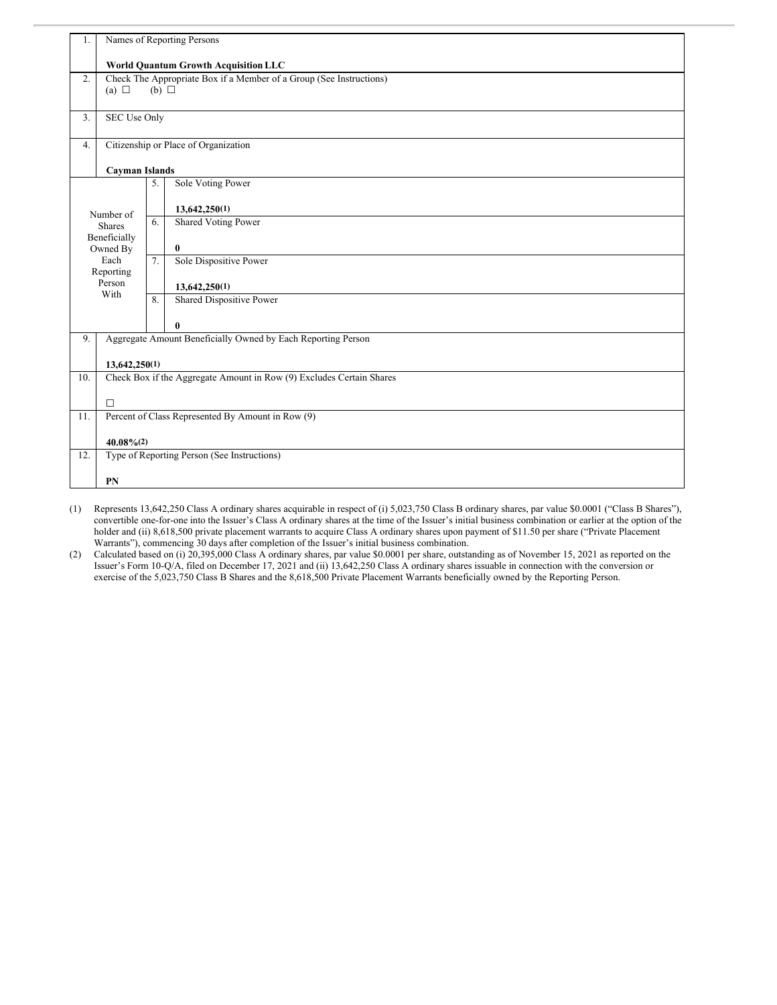| Names of Reporting Persons<br>1. |                                                                                                      |                  |                            |  |  |  |
|----------------------------------|------------------------------------------------------------------------------------------------------|------------------|----------------------------|--|--|--|
|                                  | <b>World Quantum Growth Acquisition LLC</b>                                                          |                  |                            |  |  |  |
| 2.                               | Check The Appropriate Box if a Member of a Group (See Instructions)<br>$(b)$ $\square$<br>(a) $\Box$ |                  |                            |  |  |  |
| 3.                               | SEC Use Only                                                                                         |                  |                            |  |  |  |
| 4.                               | Citizenship or Place of Organization                                                                 |                  |                            |  |  |  |
|                                  | <b>Cayman Islands</b>                                                                                |                  |                            |  |  |  |
|                                  |                                                                                                      | 5.               | Sole Voting Power          |  |  |  |
| Number of                        |                                                                                                      |                  | 13,642,250(1)              |  |  |  |
| <b>Shares</b>                    |                                                                                                      | 6.               | <b>Shared Voting Power</b> |  |  |  |
| Beneficially<br>Owned By         |                                                                                                      |                  | $\bf{0}$                   |  |  |  |
| Each                             |                                                                                                      | $\overline{7}$ . | Sole Dispositive Power     |  |  |  |
| Reporting<br>Person              |                                                                                                      |                  | 13,642,250(1)              |  |  |  |
| With                             |                                                                                                      | 8.               | Shared Dispositive Power   |  |  |  |
|                                  |                                                                                                      |                  | $\bf{0}$                   |  |  |  |
| 9.                               | Aggregate Amount Beneficially Owned by Each Reporting Person                                         |                  |                            |  |  |  |
|                                  | 13,642,250(1)                                                                                        |                  |                            |  |  |  |
| 10.                              | Check Box if the Aggregate Amount in Row (9) Excludes Certain Shares                                 |                  |                            |  |  |  |
|                                  | $\Box$                                                                                               |                  |                            |  |  |  |
| 11.                              | Percent of Class Represented By Amount in Row (9)                                                    |                  |                            |  |  |  |
|                                  | $40.08\%(2)$                                                                                         |                  |                            |  |  |  |
| 12.                              | Type of Reporting Person (See Instructions)                                                          |                  |                            |  |  |  |
|                                  | PN                                                                                                   |                  |                            |  |  |  |

(1) Represents 13,642,250 Class A ordinary shares acquirable in respect of (i) 5,023,750 Class B ordinary shares, par value \$0.0001 ("Class B Shares"), convertible one-for-one into the Issuer's Class A ordinary shares at the time of the Issuer's initial business combination or earlier at the option of the holder and (ii) 8,618,500 private placement warrants to acquire Class A ordinary shares upon payment of \$11.50 per share ("Private Placement Warrants"), commencing 30 days after completion of the Issuer's initial business combination.

(2) Calculated based on (i) 20,395,000 Class A ordinary shares, par value \$0.0001 per share, outstanding as of November 15, 2021 as reported on the Issuer's Form 10-Q/A, filed on December 17, 2021 and (ii) 13,642,250 Class A ordinary shares issuable in connection with the conversion or exercise of the 5,023,750 Class B Shares and the 8,618,500 Private Placement Warrants beneficially owned by the Reporting Person.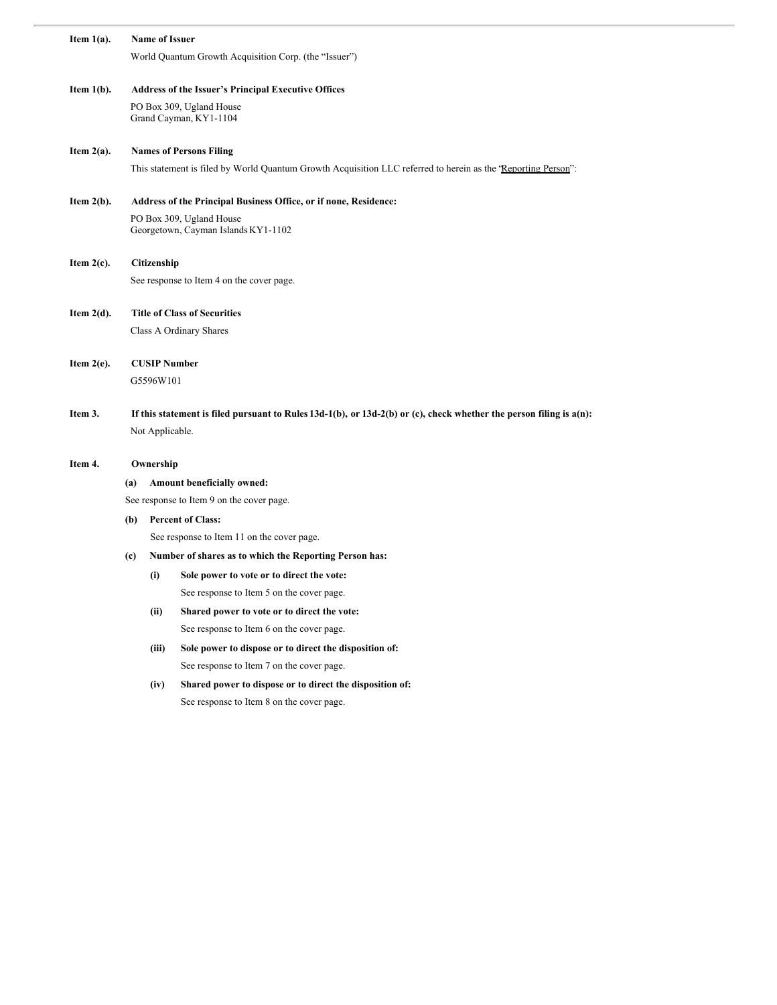| Item $1(a)$ . |                                                                                                                                                | <b>Name of Issuer</b>                                                                                          |  |  |  |
|---------------|------------------------------------------------------------------------------------------------------------------------------------------------|----------------------------------------------------------------------------------------------------------------|--|--|--|
|               |                                                                                                                                                | World Quantum Growth Acquisition Corp. (the "Issuer")                                                          |  |  |  |
| Item $1(b)$ . |                                                                                                                                                | <b>Address of the Issuer's Principal Executive Offices</b>                                                     |  |  |  |
|               |                                                                                                                                                | PO Box 309, Ugland House<br>Grand Cayman, KY1-1104                                                             |  |  |  |
| Item $2(a)$ . |                                                                                                                                                | <b>Names of Persons Filing</b>                                                                                 |  |  |  |
|               |                                                                                                                                                | This statement is filed by World Quantum Growth Acquisition LLC referred to herein as the 'Reporting Person'': |  |  |  |
| Item $2(b)$ . |                                                                                                                                                | Address of the Principal Business Office, or if none, Residence:                                               |  |  |  |
|               |                                                                                                                                                | PO Box 309, Ugland House<br>Georgetown, Cayman Islands KY1-1102                                                |  |  |  |
| Item $2(c)$ . |                                                                                                                                                | Citizenship                                                                                                    |  |  |  |
|               | See response to Item 4 on the cover page.                                                                                                      |                                                                                                                |  |  |  |
| Item $2(d)$ . | <b>Title of Class of Securities</b>                                                                                                            |                                                                                                                |  |  |  |
|               |                                                                                                                                                | Class A Ordinary Shares                                                                                        |  |  |  |
| Item $2(e)$ . | <b>CUSIP Number</b>                                                                                                                            |                                                                                                                |  |  |  |
|               |                                                                                                                                                | G5596W101                                                                                                      |  |  |  |
| Item 3.       | If this statement is filed pursuant to Rules $13d-1(b)$ , or $13d-2(b)$ or (c), check whether the person filing is $a(n)$ :<br>Not Applicable. |                                                                                                                |  |  |  |
| Item 4.       | Ownership                                                                                                                                      |                                                                                                                |  |  |  |
|               | Amount beneficially owned:<br>(a)                                                                                                              |                                                                                                                |  |  |  |
|               | See response to Item 9 on the cover page.                                                                                                      |                                                                                                                |  |  |  |
|               | (b)                                                                                                                                            | <b>Percent of Class:</b>                                                                                       |  |  |  |
|               |                                                                                                                                                | See response to Item 11 on the cover page.                                                                     |  |  |  |
|               | (c)                                                                                                                                            | Number of shares as to which the Reporting Person has:                                                         |  |  |  |
|               |                                                                                                                                                | (i)<br>Sole power to vote or to direct the vote:                                                               |  |  |  |
|               |                                                                                                                                                | See response to Item 5 on the cover page.                                                                      |  |  |  |
|               |                                                                                                                                                | (ii)<br>Shared power to vote or to direct the vote:                                                            |  |  |  |
|               |                                                                                                                                                | See response to Item 6 on the cover page.                                                                      |  |  |  |
|               |                                                                                                                                                | (iii)<br>Sole power to dispose or to direct the disposition of:                                                |  |  |  |
|               |                                                                                                                                                | See response to Item 7 on the cover page.                                                                      |  |  |  |
|               |                                                                                                                                                | (iv)<br>Shared power to dispose or to direct the disposition of:                                               |  |  |  |
|               |                                                                                                                                                | See response to Item 8 on the cover page.                                                                      |  |  |  |
|               |                                                                                                                                                |                                                                                                                |  |  |  |
|               |                                                                                                                                                |                                                                                                                |  |  |  |
|               |                                                                                                                                                |                                                                                                                |  |  |  |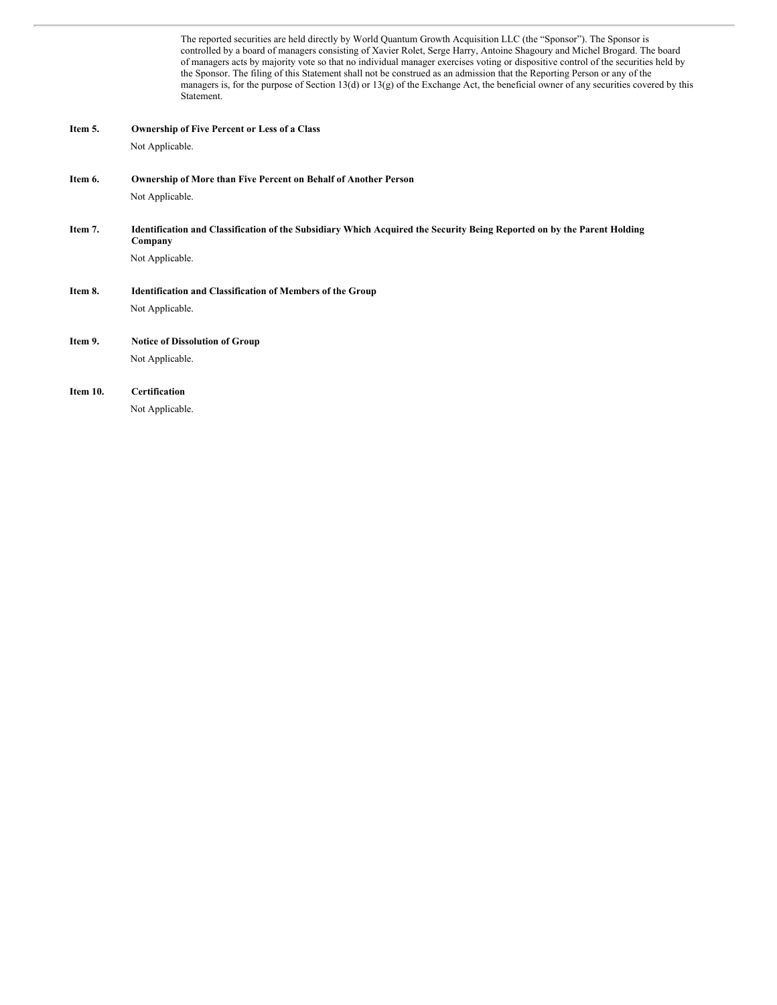The reported securities are held directly by World Quantum Growth Acquisition LLC (the "Sponsor"). The Sponsor is controlled by a board of managers consisting of Xavier Rolet, Serge Harry, Antoine Shagoury and Michel Brogard. The board of managers acts by majority vote so that no individual manager exercises voting or dispositive control of the securities held by the Sponsor. The filing of this Statement shall not be construed as an admission that the Reporting Person or any of the managers is, for the purpose of Section 13(d) or 13(g) of the Exchange Act, the beneficial owner of any securities covered by this Statement.

- **Item 5. Ownership of Five Percent or Less of a Class** Not Applicable.
- **Item 6. Ownership of More than Five Percent on Behalf of Another Person** Not Applicable.
- Item 7. Identification and Classification of the Subsidiary Which Acquired the Security Being Reported on by the Parent Holding **Company** Not Applicable.

- **Item 8. Identification and Classification of Members of the Group** Not Applicable.
- **Item 9. Notice of Dissolution of Group**

Not Applicable.

**Item 10. Certification** Not Applicable.